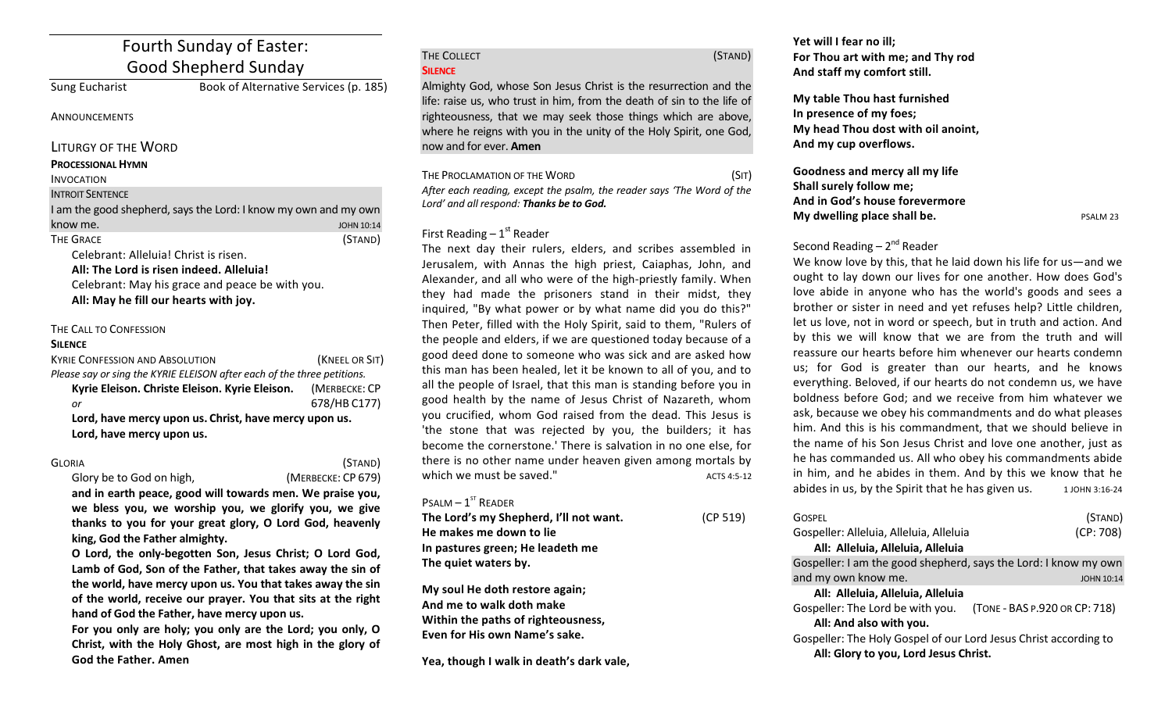# Fourth Sunday of Easter: Good Shepherd Sunday

Sung Eucharist Book of Alternative Services (p. 185)

and my own JOHN 10:14 (STAND)

**ANNOUNCEMENTS** 

LITURGY OF THE WORD

### **PROCESSIONAL HYMN**

#### INVOCATION I<sub>NT</sub>

| know me.<br>THE GRACE | INTROIT SENTENCE                                     |
|-----------------------|------------------------------------------------------|
|                       | I am the good shepherd, says the Lord: I know my own |
|                       |                                                      |
|                       |                                                      |

Celebrant: Alleluia! Christ is risen. All: The Lord is risen indeed. Alleluia! Celebrant: May his grace and peace be with you. All: May he fill our hearts with joy.

## THE CALL TO CONFESSION

### **SILENCE**

| <b>KYRIE CONFESSION AND ABSOLUTION</b>                                  | (KNEEL OR SIT) |  |
|-------------------------------------------------------------------------|----------------|--|
| Please say or sing the KYRIE ELEISON after each of the three petitions. |                |  |
| Kyrie Eleison. Christe Eleison. Kyrie Eleison.                          | (MERBECKE: CP  |  |
| or                                                                      | 678/HB C177)   |  |
| Lord, have mercy upon us. Christ, have mercy upon us.                   |                |  |
| Lord, have mercy upon us.                                               |                |  |

| Gloria                   | (STAND)            |
|--------------------------|--------------------|
| Glory be to God on high, | (MERBECKE: CP 679) |

and in earth peace, good will towards men. We praise you, we bless you, we worship you, we glorify you, we give thanks to you for your great glory, O Lord God, heavenly king, God the Father almighty.

**O** Lord, the only-begotten Son, Jesus Christ; O Lord God, Lamb of God, Son of the Father, that takes away the sin of the world, have mercy upon us. You that takes away the sin of the world, receive our prayer. You that sits at the right hand of God the Father, have mercy upon us.

For you only are holy; you only are the Lord; you only, O **Christ, with the Holy Ghost, are most high in the glory of** God the Father. Amen

| THE COLLECT    | (STAND) |
|----------------|---------|
| <b>SILENCE</b> |         |

Almighty God, whose Son Jesus Christ is the resurrection and the life: raise us, who trust in him, from the death of sin to the life of righteousness, that we may seek those things which are above, where he reigns with you in the unity of the Holy Spirit, one God, now and for ever. **Amen**

THE PROCLAMATION OF THE WORD (SIT) After each reading, except the psalm, the reader says 'The Word of the Lord' and all respond: Thanks be to God.

## First Reading  $-1<sup>st</sup>$  Reader

The next day their rulers, elders, and scribes assembled in Jerusalem, with Annas the high priest, Caiaphas, John, and Alexander, and all who were of the high-priestly family. When they had made the prisoners stand in their midst, they inquired, "By what power or by what name did you do this?" Then Peter, filled with the Holy Spirit, said to them, "Rulers of the people and elders, if we are questioned today because of a good deed done to someone who was sick and are asked how this man has been healed, let it be known to all of you, and to all the people of Israel, that this man is standing before you in good health by the name of Jesus Christ of Nazareth, whom you crucified, whom God raised from the dead. This Jesus is 'the stone that was rejected by you, the builders; it has become the cornerstone.' There is salvation in no one else, for there is no other name under heaven given among mortals by which we must be saved." $\mu$  acts 4:5-12

## $P$ SALM  $-1$ <sup>ST</sup> READER

| The Lord's my Shepherd, I'll not want. | (CP 519) |
|----------------------------------------|----------|
| He makes me down to lie                |          |
| In pastures green; He leadeth me       |          |
| The quiet waters by.                   |          |
|                                        |          |

**My soul He doth restore again; And me to walk doth make Within the paths of righteousness,** Even for His own Name's sake.

Yea, though I walk in death's dark vale,

Yet will I fear no ill; For Thou art with me; and Thy rod And staff my comfort still.

**My table Thou hast furnished** In presence of my foes; **My head Thou dost with oil anoint,** And my cup overflows.

**Goodness and mercy all my life Shall surely follow me:** And in God's house forevermore **My dwelling place shall be.**  PSALM 23 

## Second Reading  $-2<sup>nd</sup>$  Reader

We know love by this, that he laid down his life for us—and we ought to lay down our lives for one another. How does God's love abide in anyone who has the world's goods and sees a brother or sister in need and yet refuses help? Little children, let us love, not in word or speech, but in truth and action. And by this we will know that we are from the truth and will reassure our hearts before him whenever our hearts condemn us; for God is greater than our hearts, and he knows everything. Beloved, if our hearts do not condemn us, we have boldness before God; and we receive from him whatever we ask, because we obey his commandments and do what pleases him. And this is his commandment, that we should believe in the name of his Son Jesus Christ and love one another, just as he has commanded us. All who obey his commandments abide in him, and he abides in them. And by this we know that he abides in us, by the Spirit that he has given us.  $1$  JOHN 3:16-24

| GOSPFI                                                           | (STAND)                       |
|------------------------------------------------------------------|-------------------------------|
| Gospeller: Alleluia, Alleluia, Alleluia                          | (CP: 708)                     |
| All: Alleluia, Alleluia, Alleluia                                |                               |
| Gospeller: I am the good shepherd, says the Lord: I know my own  |                               |
| and my own know me.                                              | <b>JOHN 10:14</b>             |
| All: Alleluia, Alleluia, Alleluia                                |                               |
| Gospeller: The Lord be with you.                                 | (TONE - BAS P.920 OR CP: 718) |
| All: And also with you.                                          |                               |
| Gospeller: The Holy Gospel of our Lord Jesus Christ according to |                               |
| All: Glory to you, Lord Jesus Christ.                            |                               |